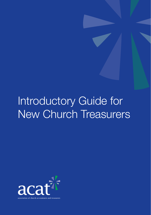# Introductory Guide for New Church Treasurers

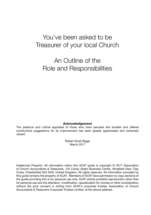### You've been asked to be Treasurer of your local Church

An Outline of the Role and Responsibilities

#### **Acknowledgement**

The patience and critical appraisal of those who have perused this booklet and offered constructive suggestions for its improvement has been greatly appreciated and extremely valued.

> Robert Scott-Biggs March 2017

Intellectual Property: All information within this ACAT guide is copyright © 2017 Association of Church Accountants & Treasurers, 125 Coney Green Business Centre, Wingfield View, Clay Cross, Chesterfield S45 9JW, United Kingdom. All rights reserved. All information provided by this guide remains the property of ACAT. Members of ACAT have permission to copy sections of the guide providing this is for personal use only. ACAT strictly prohibits reproduction other than for personal use and the alteration, modification, republication for monies or other consideration without the prior consent in writing from ACAT's corporate trustee, Association of Church Accountants & Treasurers Corporate Trustee Limited, at the above address.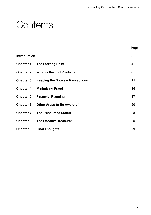**Page**

## **Contents**

| <b>Introduction</b> |                                            | 3  |
|---------------------|--------------------------------------------|----|
|                     | <b>Chapter 1 The Starting Point</b>        | 4  |
|                     | Chapter 2 What is the End Product?         | 8  |
|                     | Chapter 3 Keeping the Books – Transactions | 11 |
|                     | <b>Chapter 4 Minimizing Fraud</b>          | 15 |
|                     | <b>Chapter 5 Financial Planning</b>        | 17 |
|                     | Chapter 6 Other Areas to Be Aware of       | 20 |
|                     | <b>Chapter 7 The Treasurer's Status</b>    | 23 |
|                     | <b>Chapter 8 The Effective Treasurer</b>   | 25 |
| <b>Chapter 9</b>    | <b>Final Thoughts</b>                      | 29 |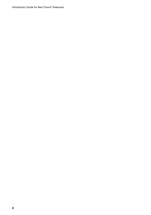Introductory Guide for New Church Treasurers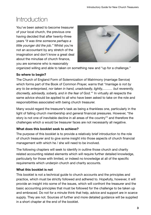### <span id="page-6-0"></span>Introduction

You've been asked to become treasurer of your local church, the previous one having decided that after twenty-three years *"it was time someone perhaps a little younger did the job."* Whilst you're not an accountant by any stretch of the imagination and don't know a great deal about the minutiae of church finance, you are someone who is reasonably



organized willing and able to taken on something new and "up for a challenge."

### **So where to begin?**

The Church of England Form of Solemnization of Matrimony (marriage Service) which forms part of the Book of Common Prayer, warns that *"marriage is not by any to be enterprised, nor taken in hand, unadvisedly, lightly,……… but reverently,*  discreetly, advisedly, soberly, and in the fear of God."<sup>1</sup> In virtually all respects the same advice should be applied to all who have been asked to take on the role and responsibilities associated with being church treasurer.

Many would regard the treasurer's task as being a thankless one, particularly in the light of falling church membership and general financial pressures. However, "the story is not one of inevitable decline in all areas of the country"<sup>2</sup> and therefore the challenges which a would be treasurer faces are not necessarily all negative.

### **What does this booklet seek to achieve?**

The purpose of this booklet is to provide a relatively brief introduction to the role of church treasurer and to give some insight into those aspects of church financial management with which he / she will need to be involved.

The following chapters will seek to identify in outline those church and charity related accounting related elements which will require further detailed knowledge, particularly for those with limited, or indeed no knowledge at all of the specific requirements which underpin church and charity accounts.

### **What this booklet is not**

This booklet is not a technical guide to church accounts and the principles and practice, which must be strictly followed and adhered to. Hopefully, however, it will provide an insight into some of the issues, which will confront the treasurer and the basic accounting principles that must be followed for the challenge to be taken up and embraced. Do not for a minute think that help, advice and support are in scarce supply. They are not. Sources of further and more detailed guidance will be supplied in a short chapter at the end of the booklet.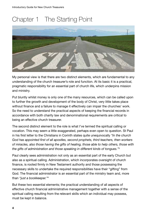### <span id="page-7-0"></span>Chapter 1 The Starting Point



My personal view is that there are two distinct elements, which are fundamental to any understanding of the church treasurer's role and function. At its basic it is a practical, pragmatic responsibility for an essential part of church life, which underpins mission and ministry.

Put bluntly whilst money is only one of the many resources, which can be called upon to further the growth and development of the body of Christ, very little takes place without finance and a failure to manage it effectively can impair the churches' work. So the need to understand the practical aspects of keeping the financial records in accordance with both charity law and denominational requirements are critical to being an effective church treasurer.

The second distinct element to the role is what I've termed the spiritual calling or vocation. This may seem a little exaggerated, perhaps even open to question. St Paul in his first letter to the Christians in Corinth states quite unequivocally *"In the church God has appointed first of all apostles, second prophets, third teachers, then workers of miracles, also those having the gifts of healing, those able to help others, those with the gifts of administration and those speaking in different kinds of tongues."*<sup>3</sup>

Paul clearly sees administration not only as an essential part of the early Church but also as a spiritual calling. Administration, which incorporates oversight of church finance, is rooted firmly in New Testament authority and those possessing the necessary skills to undertake the required responsibilities have their "gifting" from God. The financial administrator is an essential part of the ministry team and, more than *"just a bookkeeper."*<sup>4</sup>

But these two essential elements; the practical understanding of all aspects of effective church financial administrative management together with a sense of the spiritual calling resulting from the relevant skills which an individual may possess, must be kept in balance.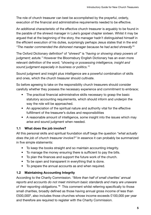The role of church treasurer can best be accomplished by the prayerful, orderly, execution of the financial and administrative requirements needed to be effective.

An additional characteristic of the effective church treasurer is arguably to be found in the parable of the shrewd manager in Luke's gospel chapter sixteen. Whilst it may be argued that at the beginning of the story, the manager hadn't distinguished himself in the efficient execution of his duties, surprisingly perhaps Jesus states that in the end *"The master commended the dishonest manager because he had acted shrewdly"*<sup>5</sup>

The Oxford Dictionary definition<sup>6</sup> of "shrewd" is "having or showing sharp powers of *judgment; astute."* However the Bloomsbury English Dictionary has an even more relevant definition of the word; *"showing or possessing intelligence, insight and sound judgment especially in business or politics."*<sup>7</sup>

Sound judgment and insight plus intelligence are a powerful combination of skills and ones, which the church treasurer should cultivate.

So before agreeing to take on the responsibility church treasurers should consider carefully whether they possess the necessary experience and commitment to embrace;

- The practical financial administrative skills necessary to grasp the basic statutory accounting requirements, which should inform and underpin the way the role will be approached.
- An appreciation of the spiritual nature and authority vital for the effective fulfillment of the treasurer's duties and responsibilities
- A reasonable amount of intelligence, some insight into the issues which may arise and sound judgment when needed.

### **1.1 What does the job involve?**

All this personal skills and spiritual foundation stuff begs the question *"what actually does the job of church treasurer involve?"* In essence it can probably be summarized in five simple statements:

- To keep the books straight and so maintain accounting integrity.
- To manage the money ensuring there is sufficient to pay the bills.
- To plan the finances and support the future work of the church.
- To be open and transparent in everything that is done.
- To prepare the annual accounts as and when required.

### **1.2 Maintaining Accounting Integrity**

According to the Charity Commission. *"More than half of small charities' annual reports and accounts do not meet minimum basic standards and many are unaware of their reporting obligations."*<sup>8</sup> This comment whilst referring specifically to those small charities, broadly defined as those having annual gross income of less than £500,000<sup>9</sup>, also includes those churches whose income exceeds £100,000 per year and therefore are required to register with the Charity Commission.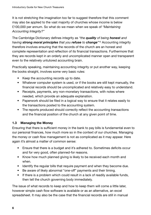It is not stretching the imagination too far to suggest therefore that this comment may also be applied to the vast majority of churches whose income is below £100,000 per annum. So what do we mean when we speak of *"Maintaining Accounting Integrity?"*

The Cambridge Dictionary defines integrity as *"the quality of being honest and having strong moral principles that you refuse to change"*10 Accounting integrity therefore involves ensuring that the records of the church are an honest and complete representation and reflection of its financial transactions. Furthermore that they are records kept in an orderly and uncomplicated manner open and transparent even to the relatively untutored accounting brain.

Practically speaking, maintaining accounting integrity or put another way, keeping the books straight, involves some very basic rules:

- Keep the accounting records up to date.
- Whatever computer system is used, or if the books are still kept manually, the financial records should be uncomplicated and relatively easy to understand.
- Receipts, payments, any non-monetary transactions, with notes where needed, which provide an adequate explanation.
- Paperwork should be filed in a logical way to ensure that it relates easily to the transactions posted to the accounting system.
- The reports produced should correctly reflect the accounting transactions and the financial position of the church at any given point of time.

### **1.3 Managing the Money**

Ensuring that there is sufficient money in the bank to pay bills is fundamental even to our personal finances, how much more so in the context of our churches. Managing the money or cash flow management is not as complicated as it may appear. Here again it's almost a matter of common sense:

- Ensure that there is a budget and it's adhered to. Sometimes deficits occur and for very good, often planned-for reasons.
- Know how much planned giving is likely to be received each month and when.
- Identify the regular bills that require payment and when they become due.
- Be aware of likely abnormal "one-off" payments and their timing.
- If there is a problem which could result in a lack of readily available funds, then tell the church governing body immediately.

The issue of what records to keep and how to keep them will come a little later, however simple cash flow software is available or as an alternative, an excel spreadsheet. It may also be the case that the financial records are still in manual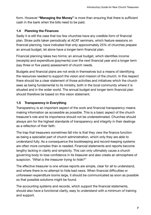form. However **"Managing the Money"** is more than ensuring that there is sufficient cash in the bank when the bills need to be paid.

### **1.4 Planning the Finances**

Sadly it is still the case that too few churches have any credible form of financial plan. Straw polls taken periodically at ACAT seminars, which feature sessions on financial planning, have indicated that only approximately 25% of churches prepare an annual budget, let alone have a longer-term financial plan.

Financial planning takes two forms; an annual budget, which identifies income (receipts) and expenditure (payments) over the next financial year and a longer term (say three or five years) assessment of church needs.

Budgets and financial plans are not ends in themselves but a means of identifying the resources needed to support the vision and mission of the church. In this respect there should be a clear statement of those activities and initiatives which the church sees as being fundamental to its ministry, both in the local community where it is situated and in the wider world. The annual budget and longer term financial plan should therefore be based on this vision statement.

### **1.5 Transparency in Everything**

Transparency is an important aspect of the work and financial transparency means making information as accessible as possible. This is a basic aspect of the church treasurer's role and its importance should not be underestimated. Churches should always aim for the highest standards of transparency and integrity in their dealings as a reflection of their faith.

The trap that treasurers sometimes fall into is that they view the finance function as being a specialist part of church administration, which only they are able to understand fully. As a consequence the bookkeeping and record-keeping systems are often more complex than is needed. Financial statements and reports become lengthy lacking in clarity and simplicity. This can only ultimately cause a church governing body to lose confidence in its treasurer and also create an atmosphere of suspicion. *"What is the treasurer trying to hide?"*

The effective treasurer is one whose reports are simple, clear for all to understand, and where there is no attempt to hide bad news. When financial difficulties or unforeseen expenditure looms large, it should be communicated as soon as possible so that possible solutions might be found.

The accounting systems and records, which support the financial statements, should also have a functional clarity, easy to understand with a minimum of training and support.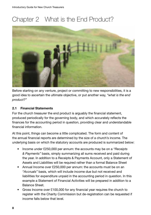### <span id="page-11-0"></span>Chapter 2 What is the End Product?



Before starting on any venture, project or committing to new responsibilities, it is a good idea to ascertain the ultimate objective, or put another way, *"what is the end product?"*

### **2.1 Financial Statements**

For the church treasurer the end product is arguably the financial statement, produced periodically for the governing body, and which accurately reflects the finances for the accounting period in question, providing clear and understandable financial information.

At this point, things can become a little complicated. The form and content of the annual financial reports are determined by the size of a church's income. The underlying basis on which the statutory accounts are produced is summarized below:

- Income under £250,000 per annum: the accounts may be on a *"Receipts & Payments"* basis, simply summarizing all sums received and paid during the year. In addition to a Receipts & Payments Account, only a Statement of Assets and Liabilities will be required rather than a formal Balance Sheet
- Annual Income over £250,000 per annum: the accounts must be on an *"Accruals"* basis, which will include income due but not received and liabilities for expenditure unpaid in the accounting period in question. In this example a Statement of Financial Activities will be prepared in addition to a Balance Sheet.
- Gross Income over £100,000 for any financial year requires the church to register with the Charity Commission but de-registration can be requested if income falls below that level.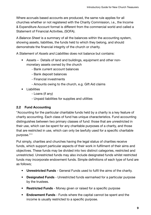Where accruals based accounts are produced, the same rule applies for all churches whether or not registered with the Charity Commission, i.e., the Income & Expenditure Account format is different from the commercial world and called a Statement of Financial Activities, (SOFA).

A *Balance Sheet* is a summary of all the balances within the accounting system, showing assets, liabilities, the funds held to which they belong, and should demonstrate the financial integrity of the church or charity.

A *Statement of Assets and Liabilities* does not balance but contains:

- Assets Details of land and buildings, equipment and other nonmonetary assets owned by the church
	- Bank current account balances
	- Bank deposit balances
	- Financial investments
	- Amounts owing to the church, e.g. Gift Aid claims
- Liabilities
	- Loans (if any)
	- Unpaid liabilities for supplies and utilities

### **2.2 Fund Accounting**

"Accounting for the particular charitable funds held by a charity is a key feature of charity accounting. Each class of fund has unique characteristics. Fund accounting distinguishes between two primary classes of fund: those that are unrestricted in their use, which can be spent for any charitable purposes of a charity, and those that are restricted in use, which can only be lawfully used for a specific charitable purpose."11

Put simply, charities and churches having the legal status of charities receive funds, which support particular aspects of their work in fulfilment of their aims and objectives. These funds may be divided into two distinct categories, restricted and unrestricted. Unrestricted funds may also include designated funds whilst restricted funds may incorporate endowment funds. Simple definitions of each type of fund are as follows;

- **Unrestricted Funds** General Funds used to fulfil the aims of the charity.
- **Designated Funds** Unrestricted funds earmarked for a particular purpose by the trustees.
- **Restricted Funds** Money given or raised for a specific purpose
- **Endowment Funds** Funds where the capital cannot be spent and the income is usually restricted to a specific purpose.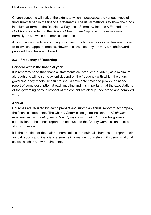Church accounts will reflect the extent to which it possesses the various types of fund summarised in the financial statements. The usual method is to show the funds in columnar form on the Receipts & Payments Summary/ Income & Expenditure / SoFA and included on the Balance Sheet where Capital and Reserves would normally be shown in commercial accounts.

At first glance charity accounting principles, which churches as charities are obliged to follow, can appear complex. However in essence they are very straightforward provided the rules are followed.

### **2.3 Frequency of Reporting**

#### **Periodic within the financial year**

It is recommended that financial statements are produced quarterly as a minimum, although this will to some extent depend on the frequency with which the church governing body meets. Treasurers should anticipate having to provide a finance report of some description at each meeting and it is important that the expectations of the governing body in respect of the content are clearly understood and complied with.

#### **Annual**

Churches are required by law to prepare and submit an annual report to accompany the financial statements. The Charity Commission guidelines state, *"All charities must maintain accounting records and prepare accounts."*12 The rules governing submission of the annual report and accounts to the Charity Commission must be strictly observed.

It is the practice for the major denominations to require all churches to prepare their annual reports and financial statements in a manner consistent with denominational as well as charity law requirements.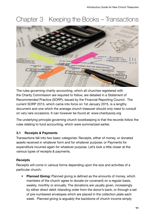### <span id="page-14-0"></span>Chapter 3 Keeping the Books – Transactions



The rules governing charity accounting, which all churches registered with the Charity Commission are required to follow, are detailed in a Statement of Recommended Practice (SORP), issued by the Financial Reporting Council. The current SORP 2015, which came into force on 1st January 2015, is a lengthy document and one which the average church treasurer should only need to consult on very rare occasions. It can however be found at: www.charitysorp.org

The underlying principle governing church bookkeeping is that the records follow the rules relating to fund accounting, which were summarized earlier.

### **3.1 Receipts & Payments**

Transactions fall into two basic categories: Receipts, either of money, or donated assets received in whatever form and for whatever purpose; or Payments for expenditure incurred again for whatever purpose. Let's look a little closer at the various types of receipts & payments.

### **Receipts**

Receipts will come in various forms depending upon the size and activities of a particular church;

• **Planned Giving:** Planned giving is defined as the amounts of money, which members of the church agree to donate (or covenant) on a regular basis, weekly, monthly or annually. The donations are usually given, increasingly by either direct debit /standing order from the donor's bank, or through a set of pre-numbered envelopes which are placed in the collection plate each week. Planned giving is arguably the backbone of church income simply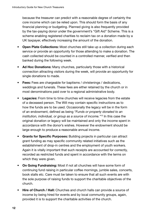because the treasurer can predict with a reasonable degree of certainty the core income which can be relied upon. This should form the basis of any financial planning or budgeting. Planned giving is also frequently provided by the tax-paying donor under the government's "Gift Aid" Scheme. This is a scheme enabling registered charities to reclaim tax on a donation made by a UK taxpayer, effectively increasing the amount of the donation.

- **Open Plate Collections:** Most churches still take up a collection during each service or provide an opportunity for those attending to make a donation. The cash collected should be counted in a controlled manner, verified and then banked during the following week.
- **Ad Hoc Donations:** Many churches, particularly those with a historical connection attracting visitors during the week, will provide an opportunity for single donations to made.
- **Fees:** Fees are chargeable for baptisms / christenings / dedications, weddings and funerals. These fees are either retained by the church or in most denominations paid over to a regional administrative body.
- **Legacies:** From time to time churches will receive legacies from the estate of a deceased person. The Will may contain specific instructions as to how the funds are to be used. Occasionally the legacy will be in the form of an endowment, defined as being *"Funds or property donated to an institution, individual, or group as a source of income."*13 In this case the original donation or legacy will be maintained and only the income spent in accordance with the donor's wishes. However the endowment should be large enough to produce a reasonable annual income.
- **Grants for Specific Purposes:** Building projects in particular can attract grant funding as may specific community related initiatives such as the establishment of drop-in centres and the employment of youth workers. Again it is vitally important that such receipts are accounted for correctly, recorded as restricted funds and spent in accordance with the terms on which they were given.
- **On Going Fundraising:** Most if not all churches will have some form of continuing fund raising in particular coffee mornings, jumble sales, concerts, book stalls etc. Care must be taken to ensure that all such events are with the sole purpose of raising funds to support the charitable objectives of the church.
- **Hire of Church / Hall:** Churches and church halls can provide a source of income by being hired for events and by local community groups, again, provided it is to support the charitable activities of the church.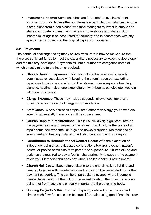• **Investment Income:** Some churches are fortunate to have investment income. This may derive either as interest on bank deposit balances, income distributions from funds placed with fund managers to invest in stocks and shares or hopefully investment gains on those stocks and shares. Such income must again be accounted for correctly and in accordance with any specific terms governing the original capital sum donated.

### **3.2 Payments**

The continual challenge facing many church treasurers is how to make sure that there are sufficient funds to meet the expenditure necessary to keep the doors open and the ministry developed. Payments fall into a number of categories some of which directly relate to the income received.

- **Church Running Expenses:** This may include the basic costs, mostly administrative, associated with keeping the church open but excluding repairs and maintenance, which will be shown under a separate heading. Lighting, heating, telephone expenditure, hymn books, candles etc. would all fall under this heading.
- **Clergy Expenses:** These may include stipends, allowances, travel and running costs in respect of clergy accommodation.
- **Staff Costs:** Where churches employ staff other than clergy, youth workers, administrative staff, these costs will be shown here.
- **Church Repairs & Maintenance:** This is usually a very significant item on the payments side and frequently the largest. It will include the costs of all repair items however small or large and however funded. Maintenance of equipment and heating installation will also be shown in this category.
- **Contribution to Denominational Central Costs:** With the exception of independent churches, calculated contributions towards a denomination's central or pooled costs also form part of the expenditure. Church of England parishes are required to pay a "parish share primarily to support the payment of clergy". Methodist churches pay what is called a "circuit assessment".
- **Church Hall Costs:** Expenditure relating to the church hall, its lighting and heating, together with maintenance and repairs, will be separated from other payment categories. This can be of particular relevance where income is derived from hiring out the hall, as the extent to which the running costs are being met from receipts is critically important to the governing body.
- **Building Projects & their control:** Preparing detailed project costs and simple cash flow forecasts can be crucial for maintaining good financial order.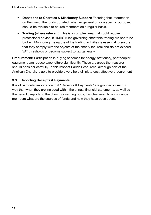- **Donations to Charities & Missionary Support:** Ensuring that information on the use of the funds donated, whether general or for a specific purpose, should be available to church members on a regular basis.
- **Trading (where relevant):** This is a complex area that could require professional advice, if HMRC rules governing charitable trading are not to be broken. Monitoring the nature of the trading activities is essential to ensure that they comply with the objects of the charity (church) and do not exceed VAT thresholds or become subject to tax generally.

**Procurement:** Participation in buying schemes for energy, stationery, photocopier equipment can reduce expenditure significantly. These are areas the treasurer should consider carefully. In this respect Parish Resources, although part of the Anglican Church, is able to provide a very helpful link to cost effective procurement

### **3.3 Reporting Receipts & Payments**

It is of particular importance that "Receipts & Payments" are grouped in such a way that when they are included within the annual financial statements, as well as the periodic reports to the church governing body, it is clear even to non-finance members what are the sources of funds and how they have been spent.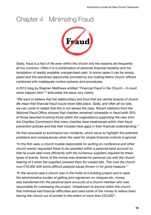### <span id="page-18-0"></span>Chapter 4 Minimizing Fraud



Sadly, fraud is a fact of life even within the church and the reasons are frequently all too common. Often it is a combination of personal financial hardship and the temptation of readily available unsupervised cash. In some cases it can be simply greed and the perceived opportunity provided by too trusting fellow church officers combined with inadequate control systems and procedures.

A 2013 blog by Stephen Matthews entitled *"Financial Fraud in the Church – It could never happen here"*15 articulates the issue very clearly

*"We want to believe that the relationships and trust that are central tenants of church life mean that financial fraud would never take place. Sadly, and often all too late, we can come to realize that this is not always the case. Recent statistics from the National Fraud Office showed that charities remained vulnerable to fraud (with 25% of those reported involving those within the organization) supporting the view from the Charities Commission that many charities have weaknesses within their fraud prevention policies and that their trustees have gaps in their financial understanding."*

He then proceeds to summarize two incidents, which serve to highlight the potential problems and consequences when the need for simple financial controls is ignored.

*"In the first case, a church trustee responsible for putting on conference and other church events requested these to be operated within a personal bank account so that he could deal more efficiently with the numerous suppliers required for these types of events. Some of the money was diverted for personal use with the church hearing of it when the suppliers pressed them for unpaid bills. This cost the church over £10,000 with some difficult pastoral issues thrown in for good measure."*

*"In the second case a church was in the midst of a building project and to ease the administrative burden of getting joint signatures on cheques etc. money was transferred into the personal bank accounts of a church member who was responsible for overseeing the project. Unbeknown to anyone within the church that individual had financial difficulties and used some of the money to relieve them, leaving the church out of pocket to the extent of more than £20,000".*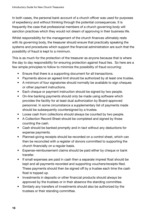In both cases, the personal bank account of a church officer was used for purposes of expediency and without thinking through the potential consequences. It is frequently the case that professional members of a church governing body will sanction practices which they would not dream of approving in their business life.

Whilst responsibility for the management of the church finances ultimately rests with its governing body, the treasurer should ensure that practically speaking the systems and procedures which support the financial administration are such that the possibility of fraud is kept to a minimum.

This is as much for the protection of the treasurer as anyone because that is where the day to day responsibility for ensuring protection against fraud lies. So here are a few simple principles to follow to minimize the possibility of fraud occurring:

- Ensure that there is a supporting document for all transactions.
- Payments above an agreed limit should be authorized by at least one trustee.
- A minimum of four signatories should normally be available to sign cheques or other payment instructions.
- Each cheque or payment instruction should be signed by two people.
- On-line banking payments should only be made using software which provides the facility for at least dual authorization by Board-approved personnel. In some circumstance a supplementary list of payments made should be subsequently countersigned by a trustee.
- Loose cash from collections should always be counted by two people.
- A Collection Record Sheet should be completed and signed by those counting the cash.
- Cash should be banked promptly and in-tact without any deductions for expense payments.
- Planned-giving receipts should be recorded on a control sheet, which can then be reconciled with a register of donors committed to supporting the church financially on a regular basis.
- Expense-reimbursement claims should be paid either by cheque or bank transfer.
- If small expenses are paid in cash then a separate imprest float should be kept and all payments recorded and supporting vouchers/receipts filed. These payments should then be signed off by a trustee each time the cash float is topped up.
- Investments in deposits or other financial products should always be approved by the trustees or in their absence the standing committee.
- Similarly any transfers of investments should also be authorized by the trustees or their standing committee.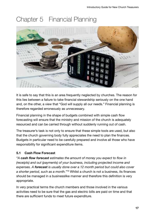### <span id="page-20-0"></span>Chapter 5 Financial Planning



It is safe to say that this is an area frequently neglected by churches. The reason for this lies between a failure to take financial stewardship seriously on the one hand and, on the other, a view that "God will supply all our needs." Financial planning is therefore regarded erroneously as unnecessary.

Financial planning in the shape of budgets combined with simple cash flow forecasting will ensure that the ministry and mission of the church is adequately resourced and can be carried through without suddenly running out of cash.

The treasurer's task is not only to ensure that these simple tools are used, but also that the church governing body fully appreciates the need to plan the finances. Budgets in particular need to be carefully prepared and involve all those who have responsibility for significant expenditure items.

### **5.1 Cash Flow Forecast**

*"A cash flow forecast estimates the amount of money you expect to flow in (receipts) and out (payments) of your business, including projected income and expenses. A forecast is usually done over a 12 month period but could also cover a shorter period, such as a month."*16 Whilst a church is not a business, its finances should be managed in a businesslike manner and therefore this definition is very appropriate.

In very practical terms the church members and those involved in the various activities need to be sure that the gas and electric bills are paid on time and that there are sufficient funds to meet future expenditure.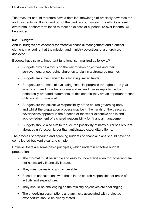The treasurer should therefore have a detailed knowledge of precisely how receipts and payments will flow in and out of the bank account(s) each month. As a result overdrafts, or short term loans to meet an excess of expenditure over income, will be avoided.

### **5.2 Budgets**

Annual budgets are essential for effective financial management and a critical element in ensuring that the mission and ministry objectives of a church are achieved.

Budgets have several important functions, summarized as follows:<sup>17</sup>

- Budgets provide a focus on the key mission objectives and their achievement, encouraging churches to plan in a structured manner.
- Budgets are a mechanism for allocating limited funds.
- Budgets are a means of evaluating financial progress throughout the year when compared to actual income and expenditure as reported in the periodically prepared statements. In this context they are an important means of financial communication.
- Budgets are the collective responsibility of the church governing body and whilst the preparation process may be in the hands of the treasurer, nevertheless approval is the function of the wider executive and is and acknowledgement of a shared responsibility for financial management.
- Budgets should also aim to reduce the possibility of nasty surprises brought about by unforeseen larger than anticipated expenditure items.

The process of preparing and agreeing budgets or financial plans should never be complicated but kept clear and simple.

However there are some basic principles, which underpin effective budget preparation:

- Their format must be simple and easy to understand even for those who are not necessarily financially literate.
- They must be realistic and achievable.
- Based on consultations with those in the church responsible for areas of activity and expenditure.
- They should be challenging as the ministry objectives are challenging.
- The underlying assumptions and any risks associated with projected expenditure should be clearly stated.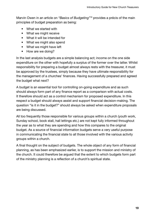Marvin Owen in an article on *"Basics of Budgeting"*18 provides a précis of the main principles of budget preparation as being:

- What we started with
- What we might receive
- What it will be intended for
- What we might also spend
- What we might have left
- How are we doing?

In the last analysis budgets are a simple balancing act; income on the one side expenditure on the other with hopefully a surplus of the former over the latter. Whilst responsibility for preparing a budget almost always rests with the treasurer, it must be approved by the trustees, simply because they have ultimate responsibility for the management of a churches' finances. Having successfully prepared and agreed the budget what next?

A budget is an essential tool for controlling on-going expenditure and as such should always form part of any finance report as a comparison with actual costs. It therefore should act as a control mechanism for proposed expenditure. In this respect a budget should always assist and support financial decision-making. The question "is it in the budget?" should always be asked when expenditure proposals are being discussed.

All too frequently those responsible for various groups within a church (youth work, Sunday school, book stall, hall lettings etc.) are not kept fully informed throughout the year as to what they are spending and how this compares to the original budget. As a source of financial information budgets serve a very useful purpose in communicating the financial state to all those involved with the various activity groups within a church.

A final thought on the subject of budgets. The whole object of any form of financial planning, as has been emphasized earlier, is to support the mission and ministry of the church. It could therefore be argued that the extent to which budgets form part of the ministry planning is a reflection of a church's spiritual state.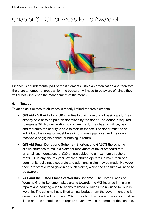### <span id="page-23-0"></span>Chapter 6 Other Areas to Be Aware of



Finance is a fundamental part of most elements within an organization and therefore there are a number of areas which the treasurer will need to be aware of, since they will directly influence the management of the money.

### **6.1 Taxation**

Taxation as it relates to churches is mostly limited to three elements:

- **Gift Aid** Gift Aid allows UK charities to claim a refund of basic-rate UK tax already paid or to be paid on donations by the donor. The donor is required to make a Gift Aid declaration to confirm that UK tax has, or will be, paid and therefore the charity is able to reclaim the tax. The donor must be an individual, the donation must be a gift of money paid over and the donor receives a negligible benefit or nothing in return.
- **Gift Aid Small Donations Scheme** Shortened to GASDS the scheme allows churches to make a claim for repayment of tax at standard rate on small cash donations of £20 or less subject to a maximum threshold of £8,000 in any one tax year. Where a church operates in more than one community building, a separate and additional claim may be made. However there are strict criteria governing such claims, which the treasurer will need to be aware of.
- **VAT and the Listed Places of Worship Scheme** The Listed Places of Worship Grants Scheme makes grants towards the VAT incurred in making repairs and carrying out alterations to listed buildings mainly used for public worship. The scheme has a fixed annual budget from the government and is currently scheduled to run until 2020. The church or place of worship must be listed and the alterations and repairs covered within the terms of the scheme.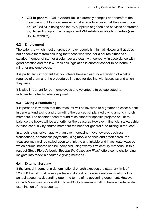• **VAT in general** - Value Added Tax is extremely complex and therefore the treasurer should always seek external advice to ensure that the correct rate (0%,5%,20%) is being applied by suppliers of goods and services contracted for, depending upon the category and VAT reliefs available to charities (see HMRC website).

### **6.2 Employment**

The extent to which most churches employ people is minimal. However that does not absolve them from ensuring that those who work for a church either as a salaried member of staff or a volunteer are dealt with correctly, in accordance with good practice and the law. Pensions legislation is another aspect to be borne in mind for any employees.

It is particularly important that volunteers have a clear understanding of what is required of them and the procedures in place for dealing with issues as and when they arise.

It is also important for both employees and volunteers to be subjected to independent checks where required.

### **6.3 Giving & Fundraising**

It is perhaps inevitable that the treasurer will be involved to a greater or lesser extent in general fundraising and promoting the concept of planned giving among church members. The constant need to fund raise either for specific projects or just to balance the books will be a priority for the treasurer. However if financial stewardship is taken seriously by church members the need for general fund raising is reduced.

In a technology driven age with an ever increasing move towards cashless transactions, contactless payments using mobile phones and credit cards, the treasurer may well be called upon to think the unthinkable and investigate ways by which church income can be increased using twenty first century methods. In this respect Steve Pierce's book *"Beyond the Collection Plate"* offers some challenging insights into modern charitable giving methods.

### **6.4 External Scrutiny**

If the annual income of a denominational church exceeds the statutory limit of £25,000 then it must have a professional audit or independent examination of its annual accounts, depending upon the terms of its governing document. However Church Measures require all Anglican PCC's however small, to have an independent examination of the accounts.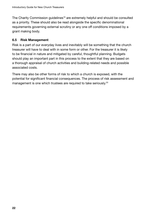The Charity Commission quidelines<sup>19</sup> are extremely helpful and should be consulted as a priority. These should also be read alongside the specific denominational requirements governing external scrutiny or any one off conditions imposed by a grant making body.

### **6.5 Risk Management**

Risk is a part of our everyday lives and inevitably will be something that the church treasurer will have to deal with in some form or other. For the treasurer it is likely to be financial in nature and mitigated by careful, thoughtful planning. Budgets should play an important part in this process to the extent that they are based on a thorough appraisal of church activities and building-related needs and possible associated costs.

There may also be other forms of risk to which a church is exposed, with the potential for significant financial consequences. The process of risk assessment and management is one which trustees are required to take seriously.<sup>20</sup>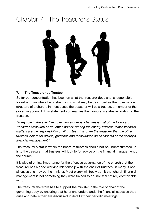### <span id="page-26-0"></span>Chapter 7 The Treasurer's Status



### **7.1 The Treasurer as Trustee**

So far our concentration has been on what the treasurer does and is responsible for rather than where he or she fits into what may be described as the governance structure of a church. In most cases the treasurer will be a trustee, a member of the governing council. This statement summarizes the treasurer's status in relation to the trustees.

*"A key role in the effective governance of most charities is that of the Honorary Treasurer (treasurer) as an 'office holder' among the charity trustees. While financial matters are the responsibility of all trustees, it is often the treasurer that the other trustees look to for advice, guidance and reassurance on all aspects of the charity's financial management."*<sup>21</sup>

The treasurer's status within the board of trustees should not be underestimated. It is to the treasurer that trustees will look to for advice on the financial management of the church.

It is also of critical importance for the effective governance of the church that the treasurer has a good working relationship with the chair of trustees. In many, if not all cases this may be the minister. Most clergy will freely admit that church financial management is not something they were trained to do, nor feel entirely comfortable with.

The treasurer therefore has to support the minister in the role of chair of the governing body by ensuring that he or she understands the financial issues as they arise and before they are discussed in detail at their periodic meetings.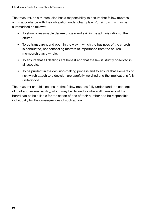The treasurer, as a trustee, also has a responsibility to ensure that fellow trustees act in accordance with their obligation under charity law. Put simply this may be summarised as follows:

- To show a reasonable degree of care and skill in the administration of the church.
- To be transparent and open in the way in which the business of the church is conducted, not concealing matters of importance from the church membership as a whole.
- To ensure that all dealings are honest and that the law is strictly observed in all aspects.
- To be prudent in the decision-making process and to ensure that elements of risk which attach to a decision are carefully weighed and the implications fully understood.

The treasurer should also ensure that fellow trustees fully understand the concept of joint and several liability, which may be defined as where all members of the board can be held liable for the action of one of their number and be responsible individually for the consequences of such action.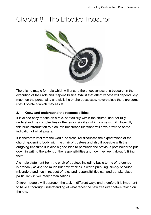### <span id="page-28-0"></span>Chapter 8 The Effective Treasurer



There is no magic formula which will ensure the effectiveness of a treasurer in the execution of their role and responsibilities. Whilst that effectiveness will depend very much on the personality and skills he or she possesses, nevertheless there are some useful pointers which may assist.

### **8.1 Know and understand the responsibilities**

It is all too easy to take on a role, particularly within the church, and not fully understand the complexities or the responsibilities which come with it. Hopefully this brief introduction to a church treasurer's functions will have provided some indication of what awaits.

It is therefore vital that the would-be treasurer discusses the expectations of the church governing body with the chair of trustees and also if possible with the outgoing treasurer. It is also a good idea to persuade the previous post holder to put down in writing the extent of the responsibilities and how they went about fulfilling them.

A simple statement from the chair of trustees including basic terms of reference is probably asking too much but nevertheless is worth pursuing, simply because misunderstandings in respect of roles and responsibilities can and do take place particularly in voluntary organisations.

Different people will approach the task in different ways and therefore it is important to have a thorough understanding of what faces the new treasurer before taking on the role.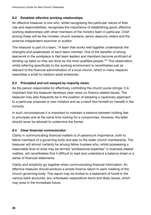### **8.2 Establish effective working relationships**

An effective treasurer is one who, whilst recognising the particular nature of their role and responsibilities, recognises the importance of establishing good, effective working relationships with other members of the ministry team in particular. Chief among these will be the minister, church wardens, senior deacons, elders and the external independent examiner or auditor.

The treasurer is part of a team. *"A team that works well together understands the strengths and weaknesses of each team member. One of the benefits of strong teamwork in the workplace is that team leaders and members become proficient at dividing up tasks so they are done by the most qualified people."*22 This observation, whilst referring specifically to the working environment is nevertheless just as relevant to the financial administration of a local church, which in many respects resembles a small to medium sized enterprise.

### **8.3 Principled and not swayed by majority views**

As the person responsible for effectively controlling the church purse strings, it is important that the treasurer develops clear views on finance related issues. The treasurer may also frequently be in the position of adopting a cautionary approach to a particular proposal or new initiative and as a result find himself (or herself) in the minority.

In such circumstances it is important to maintain a balance between holding fast to principles and at the same time looking for a compromise. However, the latter should never be allowed to undermine the former.

### **8.4 Clear financial communicator**

Clarity in communicating financial matters is of paramount importance, both to fellow members of a governing body and also to the wider church membership. The treasurer will almost certainly be among fellow trustees who, whilst possessing a reasonable level of what may be termed "professional expertise" in business related matters, will nevertheless find it difficult to read and understand a balance sheet or a series of financial statements.

Clarity and simplicity go together when communicating financial information. An effective treasurer should produce a simple finance report to each meeting of the church governing body. This report may be limited to a statement of funds in the various bank accounts, any unforeseen expenditure items and likely issues, which may arise in the immediate future.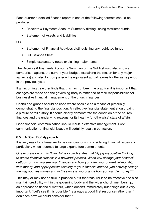Each quarter a detailed finance report in one of the following formats should be produced:

- Receipts & Payments Account Summary distinguishing restricted funds
- Statement of Assets and Liabilities

OR

- Statement of Financial Activities distinguishing any restricted funds
- Full Balance Sheet
- Simple explanatory notes explaining major items

The Receipts & Payments Accounts Summary or the SoFA should also show a comparison against the current year budget (explaining the reason for any major variances) and also for comparison the equivalent actual figures for the same period in the previous year.

If an incoming treasurer finds that this has not been the practice, it is important that changes are made and the governing body is reminded of their responsibilities for businesslike financial management of the church finances.

Charts and graphs should be used where possible as a means of pictorially demonstrating the financial position. An effective financial statement should paint a picture or tell a story. It should clearly demonstrate the condition of the church finances and the underlying reasons for its healthy (or otherwise) state of affairs.

Good financial communication should result in effective management. Poor communication of financial issues will certainly result in confusion.

### **8.5 A "Can Do" Approach**

It is very easy for a treasurer to be over cautious in considering financial issues and particularly when it comes to large expenditure commitments.

One expression of this "Can Do" approach states that *"Applying positive thinking to create financial success is a powerful process. When you change your financial outlook, or how you see your finances and how you view your current relationship with money, and apply positive thinking to your financial outlook, you actually change the way you see money and in the process you change how you handle money."*<sup>23</sup>

This may or may not be true in practice but if the treasurer is to be effective and also maintain credibility within the governing body and the wider church membership, an approach to financial matters, which doesn't immediately rule things out is very important. "Let's see if it is possible," is always a good first response rather than "I don't see how we could consider that."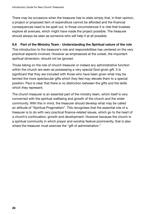There may be occasions when the treasurer has to state simply that, in their opinion, a project or proposed item of expenditure cannot be afforded and the financial consequences need to be spelt out. In those circumstances it is vital that trustees explore all avenues, which might have made the project possible. The treasurer should always be seen as someone who will help if at all possible.

#### **8.6 Part of the Ministry Team - Understanding the Spiritual nature of the role**

This introduction to the treasurer's role and responsibilities has centered on the very practical aspects involved. However as emphasized at the outset, the important spiritual dimension, should not be ignored.

Those taking on the role of church treasurer or indeed any administrative function within the church are seen as possessing a very special God-given gift. It is significant that they are included with those who have been given what may be termed the more spectacular gifts which they feel may elevate them to a special position. Paul is clear that there is no distinction between the gifts and the skills which they represent.

The church treasurer is an essential part of the ministry team, which itself is very concerned with the spiritual wellbeing and growth of the church and the wider community. With this in mind, the treasurer should develop what may be called an attitude of "Spiritual Pragmatism". This recognises that the essential role of a treasurer is to do with very practical finance-related issues, which go to the heart of a church's continuation, growth and development. However because the church is a spiritual community in which prayer and worship feature prominently, that is also where the treasurer must exercise the "gift of administration."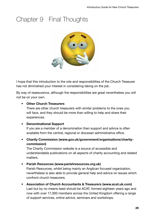### <span id="page-32-0"></span>Chapter 9 Final Thoughts



I hope that this introduction to the role and responsibilities of the Church Treasurer has not diminished your interest in considering taking on the job.

By way of reassurance, although the responsibilities are great nevertheless you will not be on your own.

#### • **Other Church Treasurers**

There are other church treasurers with similar problems to the ones you will face, and they should be more than willing to help and share their experiences.

### • **Denominational Support**

If you are a member of a denomination then support and advice is often available from the central, regional or diocesan administrative office.

• **Charity Commission (www.gov.uk/government/organisations/charitycommission)**

The Charity Commission website is a source of accessible and understandable publications on all aspects of charity accounting and related matters.

• **Parish Resources (www.parishresources.org.uk)**

Parish Resources, whilst being mainly an Anglican focused organization, nevertheless is also able to provide general help and advice on issues which confront church treasurers.

• **Association of Church Accountants & Treasurers (www.acat.uk.com)** Last but by no means least should be ACAT, formed eighteen years ago and now with over 17,000 members across the United Kingdom offering a range of support services, online advice, seminars and workshops.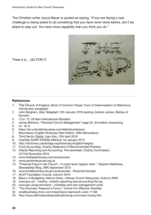The Christian writer Joyce Meyer is quoted as saying, *"If you are facing a new challenge or being asked to do something that you have never done before, don't be afraid to step out. You have more capability than you think you do."*



There it is….GO FOR IT.

#### **References**

- 1. The Church of England, *Book of Common Prayer, Form of Solemnization of Matrimony,* introductory paragraph
- 2. John Bingham, *Daily Telegraph 12th January 2016* quoting Graham James, Bishop of Norwich
- 3. I Cor. 12: 28 New International Standard
- 4. James Behrens, *"Practical Church Management"* page 52, 3rd edition Gracewing
- 5. Lk. 16: 8
- 6. https://en.oxforddictionaries.com/definition/shrewd
- 7. Bloomsbury English Dictionary New Edition, 2004 Bloomsbury
- 8. *Third Sector Digital*, Liam Kay, 12th April 2016
- 9. Charities SORP (FRSSE) effective 1st January 2015
- 10. http://dictionary.cambridge.org/dictionary/english/integrity
- 11. *Fund Accounting*, Charity Statement of Recommended Practice
- 12. *Charity Reporting and Accounting: The essentials,* Charity Commission, CC15d November 2016
- 13. www.thefreedictionary.com/endowment
- 14. www.parishresources.org.uk
- 15. *"Financial Fraud in the Church It could never happen here."*, Stephen Matthews, Stewardship Blog, 28th September 2013
- 16. www.smallbusiness.wa.gov.au/business.../financial-forecast
- 17. *ACAT Foundation Course*, Autumn 2016
- 18. *Basics of Budgeting*, Marvin Owen, Lifeway Church Resources, Autumn 2005
- 19. www.gov.uk/.../charity.../charity-reporting-and-accounting-the-es.
- 20. www.gov.uk/government/.../charities-and-risk-management-cc26
- 21. *"The Honorary Treasurer's Forum,"* Centre For Effective Charities
- 22. smallbusiness.chron.com/importance-teamwork-work-11196
- 23. http://www.affirmationsforpositivethinking.com/more-money.htm